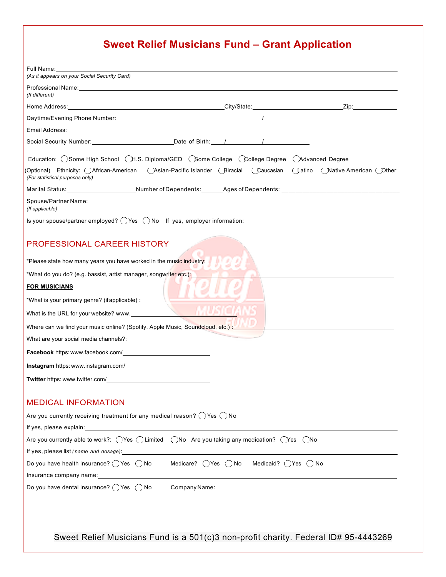## **Sweet Relief Musicians Fund – Grant Application**

| (As it appears on your Social Security Card)                                                                                                                                                                                                     |                                           |  |
|--------------------------------------------------------------------------------------------------------------------------------------------------------------------------------------------------------------------------------------------------|-------------------------------------------|--|
| Professional Name: Later and the contract of the contract of the contract of the contract of the contract of the contract of the contract of the contract of the contract of the contract of the contract of the contract of t<br>(If different) |                                           |  |
|                                                                                                                                                                                                                                                  |                                           |  |
|                                                                                                                                                                                                                                                  |                                           |  |
|                                                                                                                                                                                                                                                  |                                           |  |
|                                                                                                                                                                                                                                                  |                                           |  |
| Education: OSome High School OH.S. Diploma/GED CSome College CCollege Degree CAdvanced Degree                                                                                                                                                    |                                           |  |
| (Optional) Ethnicity: ⊖African-American ← ⊝Asian-Pacific Islander ← Biracial ← Caucasian ← Latino ← Native American ← Other<br>(For statistical purposes only)                                                                                   |                                           |  |
| Marital Status:________________________Number of Dependents:_______Ages of Dependents: _______________________                                                                                                                                   |                                           |  |
| Spouse/Partner Name: William School Spouse Partners and Spouse Partners and Spouse Partners and Spouse Partners<br>(If applicable)                                                                                                               |                                           |  |
| Is your spouse/partner employed? $\bigcirc$ Yes $\bigcirc$ No If yes, employer information:                                                                                                                                                      |                                           |  |
| <b>PROFESSIONAL CAREER HISTORY</b>                                                                                                                                                                                                               |                                           |  |
| *Please state how many years you have worked in the music industry: <b>The state of the state of the state of the state of the state of the state of the state of the state of the state of the state of the state of the state </b>             |                                           |  |
| *What do you do? (e.g. bassist, artist manager, songwriter etc.): www.                                                                                                                                                                           |                                           |  |
| <b>FOR MUSICIANS</b>                                                                                                                                                                                                                             |                                           |  |
| *What is your primary genre? (if applicable) : _________________________________                                                                                                                                                                 |                                           |  |
| What is the URL for your website? www.                                                                                                                                                                                                           |                                           |  |
|                                                                                                                                                                                                                                                  |                                           |  |
| What are your social media channels?:                                                                                                                                                                                                            |                                           |  |
| Facebook https: www.facebook.com/                                                                                                                                                                                                                |                                           |  |
|                                                                                                                                                                                                                                                  |                                           |  |
| Twitter https: www.twitter.com/                                                                                                                                                                                                                  |                                           |  |
|                                                                                                                                                                                                                                                  |                                           |  |
| <b>MEDICAL INFORMATION</b>                                                                                                                                                                                                                       |                                           |  |
| Are you currently receiving treatment for any medical reason? $\bigcirc$ Yes $\bigcirc$ No                                                                                                                                                       |                                           |  |
|                                                                                                                                                                                                                                                  |                                           |  |
| Are you currently able to work?: $\bigcirc$ Yes $\bigcirc$ Limited $\bigcirc$ No Are you taking any medication? $\bigcirc$ Yes $\bigcirc$ No                                                                                                     |                                           |  |
| If yes, please list (name and dosage): 1992                                                                                                                                                                                                      |                                           |  |
| Do you have health insurance? $\bigcirc$ Yes $\bigcirc$ No<br>Insurance company name: <b>company</b> name:                                                                                                                                       | Medicare? (Yes () No Medicaid? (Yes () No |  |
| Do you have dental insurance? $\bigcirc$ Yes $\bigcirc$ No                                                                                                                                                                                       |                                           |  |
|                                                                                                                                                                                                                                                  |                                           |  |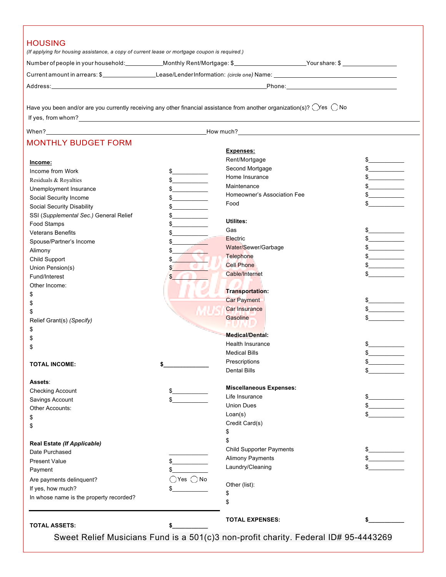|                                                                                                                                            | (If applying for housing assistance, a copy of current lease or mortgage coupon is required.) |                                 |               |
|--------------------------------------------------------------------------------------------------------------------------------------------|-----------------------------------------------------------------------------------------------|---------------------------------|---------------|
|                                                                                                                                            |                                                                                               |                                 |               |
|                                                                                                                                            |                                                                                               |                                 |               |
|                                                                                                                                            |                                                                                               |                                 |               |
|                                                                                                                                            |                                                                                               |                                 |               |
| Have you been and/or are you currently receiving any other financial assistance from another organization(s)? $\bigcirc$ Yes $\bigcirc$ No |                                                                                               |                                 |               |
|                                                                                                                                            |                                                                                               |                                 |               |
|                                                                                                                                            |                                                                                               |                                 |               |
| <b>MONTHLY BUDGET FORM</b>                                                                                                                 |                                                                                               |                                 |               |
|                                                                                                                                            | <b>Expenses:</b>                                                                              |                                 |               |
| Income:                                                                                                                                    | Rent/Mortgage                                                                                 |                                 | $\frac{1}{2}$ |
| Income from Work                                                                                                                           | $\frac{1}{2}$                                                                                 | Second Mortgage                 | $\frac{1}{2}$ |
| Residuals & Royalties                                                                                                                      | $\frac{1}{2}$                                                                                 | Home Insurance                  | $\frac{1}{2}$ |
| Unemployment Insurance                                                                                                                     | Maintenance<br>$\frac{1}{2}$                                                                  |                                 | $\frac{1}{2}$ |
| Social Security Income                                                                                                                     | $\frac{1}{2}$                                                                                 | Homeowner's Association Fee     | $\frac{1}{2}$ |
| Social Security Disability                                                                                                                 | Food<br>$\frac{1}{2}$                                                                         |                                 |               |
| SSI (Supplemental Sec.) General Relief                                                                                                     | \$                                                                                            |                                 |               |
| Food Stamps                                                                                                                                | <b>Utilites:</b><br>\$                                                                        |                                 |               |
| <b>Veterans Benefits</b>                                                                                                                   | Gas<br>\$                                                                                     |                                 | $\frac{1}{2}$ |
| Spouse/Partner's Income                                                                                                                    | Electric<br>\$                                                                                |                                 | $\frac{1}{2}$ |
| Alimony                                                                                                                                    | \$                                                                                            | Water/Sewer/Garbage             | $\frac{1}{2}$ |
| Child Support                                                                                                                              | Telephone<br>\$                                                                               |                                 | $\frac{1}{2}$ |
| Union Pension(s)                                                                                                                           | <b>Cell Phone</b><br>\$                                                                       |                                 |               |
| Fund/Interest                                                                                                                              | Cable/Internet                                                                                |                                 |               |
| Other Income:                                                                                                                              |                                                                                               |                                 |               |
| \$                                                                                                                                         |                                                                                               | Transportation:                 |               |
| \$                                                                                                                                         | <b>Car Payment</b>                                                                            |                                 | $\frac{1}{2}$ |
| \$                                                                                                                                         | <b>Car Insurance</b>                                                                          |                                 | $\frac{1}{2}$ |
| Relief Grant(s) (Specify)                                                                                                                  | Gasoline                                                                                      |                                 | $\mathbb S$   |
| \$                                                                                                                                         | <b>STATISTICS</b>                                                                             |                                 |               |
| \$                                                                                                                                         |                                                                                               | <b>Medical/Dental:</b>          |               |
| \$                                                                                                                                         |                                                                                               | <b>Health Insurance</b>         |               |
|                                                                                                                                            | <b>Medical Bills</b>                                                                          |                                 | ፍ             |
| <b>TOTAL INCOME:</b>                                                                                                                       | Prescriptions<br><b>Dental Bills</b>                                                          |                                 |               |
|                                                                                                                                            |                                                                                               |                                 |               |
| Assets:                                                                                                                                    |                                                                                               | <b>Miscellaneous Expenses:</b>  |               |
| <b>Checking Account</b>                                                                                                                    | Life Insurance                                                                                |                                 |               |
| Savings Account                                                                                                                            | \$<br><b>Union Dues</b>                                                                       |                                 |               |
| Other Accounts:                                                                                                                            | Loan(s)                                                                                       |                                 |               |
| \$                                                                                                                                         | Credit Card(s)                                                                                |                                 |               |
| \$                                                                                                                                         | \$                                                                                            |                                 |               |
|                                                                                                                                            | \$                                                                                            |                                 |               |
| Real Estate (If Applicable)                                                                                                                |                                                                                               | <b>Child Supporter Payments</b> |               |
| Date Purchased                                                                                                                             |                                                                                               | <b>Alimony Payments</b>         |               |
| <b>Present Value</b>                                                                                                                       |                                                                                               | Laundry/Cleaning                |               |
| Payment                                                                                                                                    | \$                                                                                            |                                 |               |
| Are payments delinquent?                                                                                                                   | $\bigcirc$ Yes $\bigcirc$ No<br>Other (list):                                                 |                                 |               |
| If yes, how much?                                                                                                                          | \$                                                                                            |                                 |               |
| In whose name is the property recorded?                                                                                                    | \$                                                                                            |                                 |               |
|                                                                                                                                            |                                                                                               |                                 |               |
|                                                                                                                                            |                                                                                               | <b>TOTAL EXPENSES:</b>          |               |
| <b>TOTAL ASSETS:</b>                                                                                                                       |                                                                                               |                                 |               |

Sweet Relief Musicians Fund is a 501(c)3 non-profit charity. Federal ID# 95-4443269